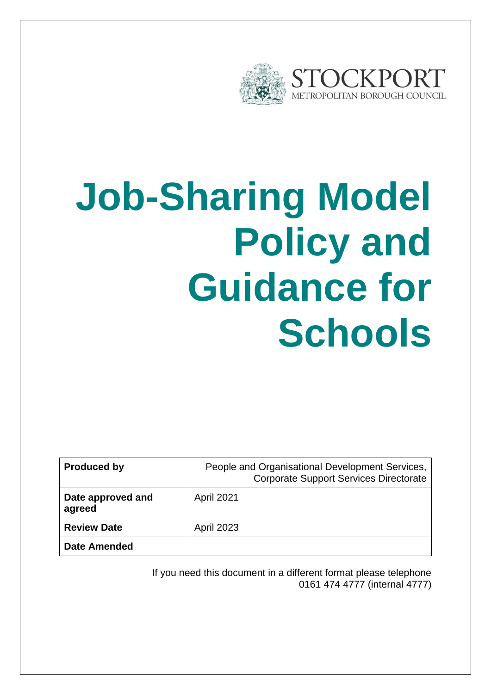

# **Job-Sharing Model Policy and Guidance for Schools**

| <b>Produced by</b>          | People and Organisational Development Services,<br><b>Corporate Support Services Directorate</b> |
|-----------------------------|--------------------------------------------------------------------------------------------------|
| Date approved and<br>agreed | <b>April 2021</b>                                                                                |
| <b>Review Date</b>          | <b>April 2023</b>                                                                                |
| <b>Date Amended</b>         |                                                                                                  |

If you need this document in a different format please telephone 0161 474 4777 (internal 4777)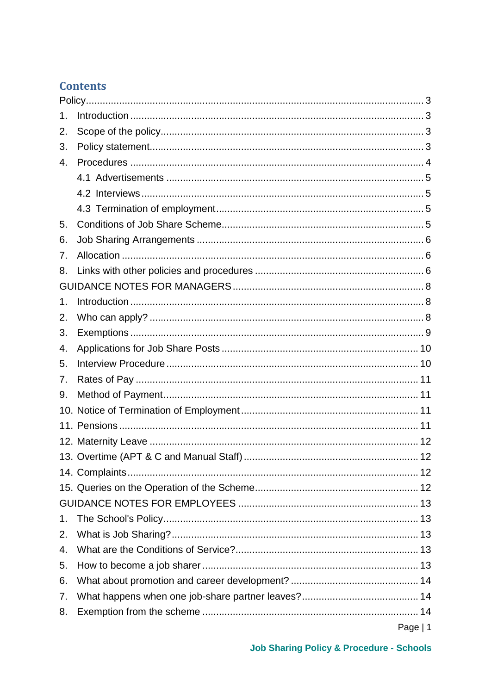# **Contents**

| 1. |           |  |
|----|-----------|--|
| 2. |           |  |
| 3. |           |  |
| 4. |           |  |
|    |           |  |
|    |           |  |
|    |           |  |
| 5. |           |  |
| 6. |           |  |
| 7. |           |  |
| 8. |           |  |
|    |           |  |
| 1. |           |  |
| 2. |           |  |
| 3. |           |  |
| 4. |           |  |
| 5. |           |  |
| 7. |           |  |
| 9. |           |  |
|    |           |  |
|    |           |  |
|    |           |  |
|    |           |  |
|    |           |  |
|    |           |  |
|    |           |  |
| 1. |           |  |
| 2. |           |  |
| 4. |           |  |
| 5. |           |  |
| 6. |           |  |
| 7. |           |  |
| 8. |           |  |
|    | Page $ 1$ |  |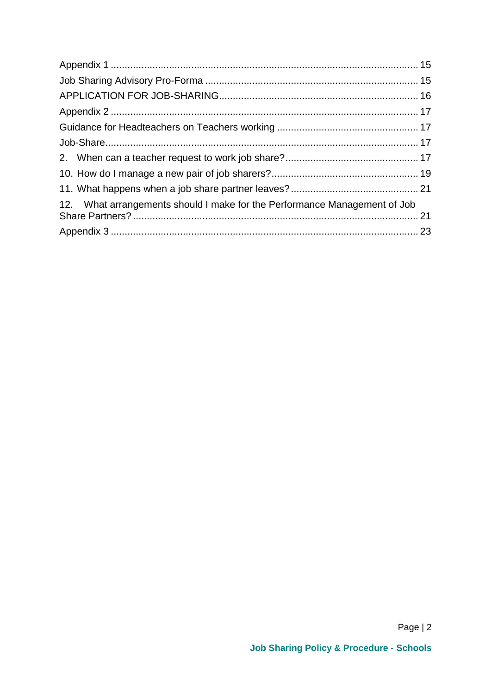| 12. What arrangements should I make for the Performance Management of Job |  |
|---------------------------------------------------------------------------|--|
|                                                                           |  |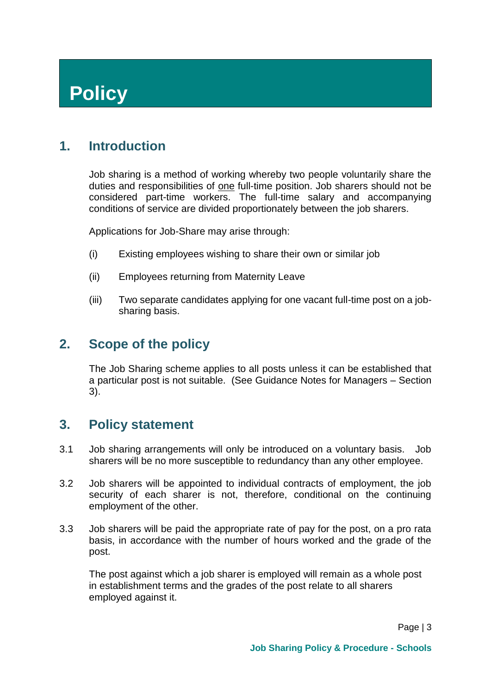# <span id="page-3-0"></span>**Policy**

# <span id="page-3-1"></span>**1. Introduction**

Job sharing is a method of working whereby two people voluntarily share the duties and responsibilities of one full-time position. Job sharers should not be considered part-time workers. The full-time salary and accompanying conditions of service are divided proportionately between the job sharers.

Applications for Job-Share may arise through:

- (i) Existing employees wishing to share their own or similar job
- (ii) Employees returning from Maternity Leave
- <span id="page-3-2"></span>(iii) Two separate candidates applying for one vacant full-time post on a jobsharing basis.

# **2. Scope of the policy**

<span id="page-3-3"></span>The Job Sharing scheme applies to all posts unless it can be established that a particular post is not suitable. (See Guidance Notes for Managers – Section 3).

#### **3. Policy statement**

- 3.1 Job sharing arrangements will only be introduced on a voluntary basis. Job sharers will be no more susceptible to redundancy than any other employee.
- 3.2 Job sharers will be appointed to individual contracts of employment, the job security of each sharer is not, therefore, conditional on the continuing employment of the other.
- 3.3 Job sharers will be paid the appropriate rate of pay for the post, on a pro rata basis, in accordance with the number of hours worked and the grade of the post.

The post against which a job sharer is employed will remain as a whole post in establishment terms and the grades of the post relate to all sharers employed against it.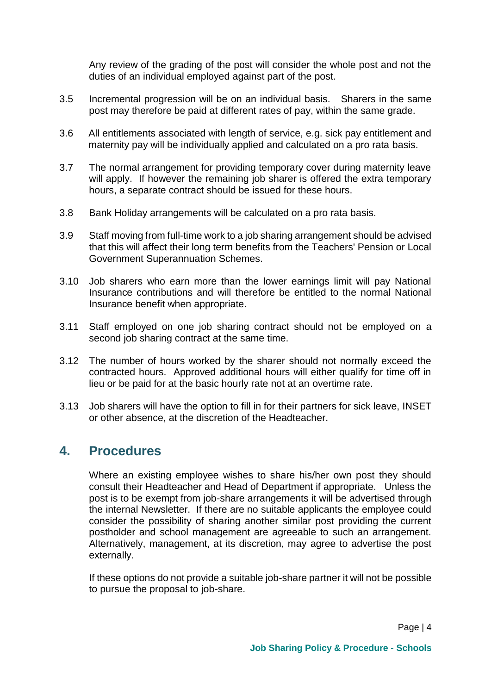Any review of the grading of the post will consider the whole post and not the duties of an individual employed against part of the post.

- 3.5 Incremental progression will be on an individual basis. Sharers in the same post may therefore be paid at different rates of pay, within the same grade.
- 3.6 All entitlements associated with length of service, e.g. sick pay entitlement and maternity pay will be individually applied and calculated on a pro rata basis.
- 3.7 The normal arrangement for providing temporary cover during maternity leave will apply. If however the remaining job sharer is offered the extra temporary hours, a separate contract should be issued for these hours.
- 3.8 Bank Holiday arrangements will be calculated on a pro rata basis.
- 3.9 Staff moving from full-time work to a job sharing arrangement should be advised that this will affect their long term benefits from the Teachers' Pension or Local Government Superannuation Schemes.
- 3.10 Job sharers who earn more than the lower earnings limit will pay National Insurance contributions and will therefore be entitled to the normal National Insurance benefit when appropriate.
- 3.11 Staff employed on one job sharing contract should not be employed on a second job sharing contract at the same time.
- 3.12 The number of hours worked by the sharer should not normally exceed the contracted hours. Approved additional hours will either qualify for time off in lieu or be paid for at the basic hourly rate not at an overtime rate.
- 3.13 Job sharers will have the option to fill in for their partners for sick leave, INSET or other absence, at the discretion of the Headteacher.

#### <span id="page-4-0"></span>**4. Procedures**

Where an existing employee wishes to share his/her own post they should consult their Headteacher and Head of Department if appropriate. Unless the post is to be exempt from job-share arrangements it will be advertised through the internal Newsletter. If there are no suitable applicants the employee could consider the possibility of sharing another similar post providing the current postholder and school management are agreeable to such an arrangement. Alternatively, management, at its discretion, may agree to advertise the post externally.

If these options do not provide a suitable job-share partner it will not be possible to pursue the proposal to job-share.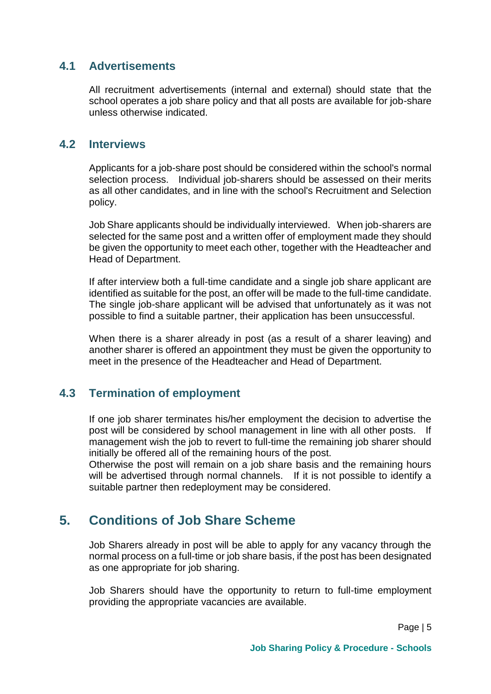#### <span id="page-5-0"></span>**4.1 Advertisements**

All recruitment advertisements (internal and external) should state that the school operates a job share policy and that all posts are available for job-share unless otherwise indicated.

#### <span id="page-5-1"></span>**4.2 Interviews**

Applicants for a job-share post should be considered within the school's normal selection process. Individual job-sharers should be assessed on their merits as all other candidates, and in line with the school's Recruitment and Selection policy.

Job Share applicants should be individually interviewed. When job-sharers are selected for the same post and a written offer of employment made they should be given the opportunity to meet each other, together with the Headteacher and Head of Department.

If after interview both a full-time candidate and a single job share applicant are identified as suitable for the post, an offer will be made to the full-time candidate. The single job-share applicant will be advised that unfortunately as it was not possible to find a suitable partner, their application has been unsuccessful.

When there is a sharer already in post (as a result of a sharer leaving) and another sharer is offered an appointment they must be given the opportunity to meet in the presence of the Headteacher and Head of Department.

#### <span id="page-5-2"></span>**4.3 Termination of employment**

If one job sharer terminates his/her employment the decision to advertise the post will be considered by school management in line with all other posts. If management wish the job to revert to full-time the remaining job sharer should initially be offered all of the remaining hours of the post.

Otherwise the post will remain on a job share basis and the remaining hours will be advertised through normal channels. If it is not possible to identify a suitable partner then redeployment may be considered.

# <span id="page-5-3"></span>**5. Conditions of Job Share Scheme**

Job Sharers already in post will be able to apply for any vacancy through the normal process on a full-time or job share basis, if the post has been designated as one appropriate for job sharing.

Job Sharers should have the opportunity to return to full-time employment providing the appropriate vacancies are available.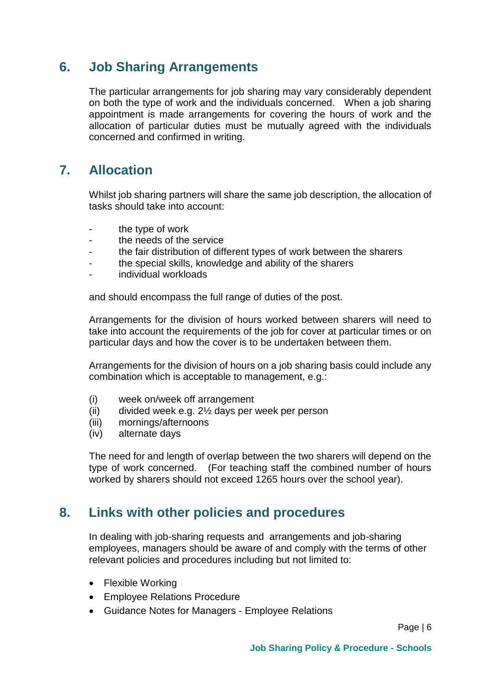# <span id="page-6-0"></span>**6. Job Sharing Arrangements**

The particular arrangements for job sharing may vary considerably dependent on both the type of work and the individuals concerned. When a job sharing appointment is made arrangements for covering the hours of work and the allocation of particular duties must be mutually agreed with the individuals concerned and confirmed in writing.

# <span id="page-6-1"></span>**7. Allocation**

Whilst job sharing partners will share the same job description, the allocation of tasks should take into account:

- the type of work
- the needs of the service
- the fair distribution of different types of work between the sharers
- the special skills, knowledge and ability of the sharers
- individual workloads

and should encompass the full range of duties of the post.

Arrangements for the division of hours worked between sharers will need to take into account the requirements of the job for cover at particular times or on particular days and how the cover is to be undertaken between them.

Arrangements for the division of hours on a job sharing basis could include any combination which is acceptable to management, e.g.:

- (i) week on/week off arrangement
- (ii) divided week e.g. 2½ days per week per person
- (iii) mornings/afternoons
- (iv) alternate days

<span id="page-6-2"></span>The need for and length of overlap between the two sharers will depend on the type of work concerned. (For teaching staff the combined number of hours worked by sharers should not exceed 1265 hours over the school year).

#### **8. Links with other policies and procedures**

In dealing with job-sharing requests and arrangements and job-sharing employees, managers should be aware of and comply with the terms of other relevant policies and procedures including but not limited to:

- Flexible Working
- Employee Relations Procedure
- Guidance Notes for Managers Employee Relations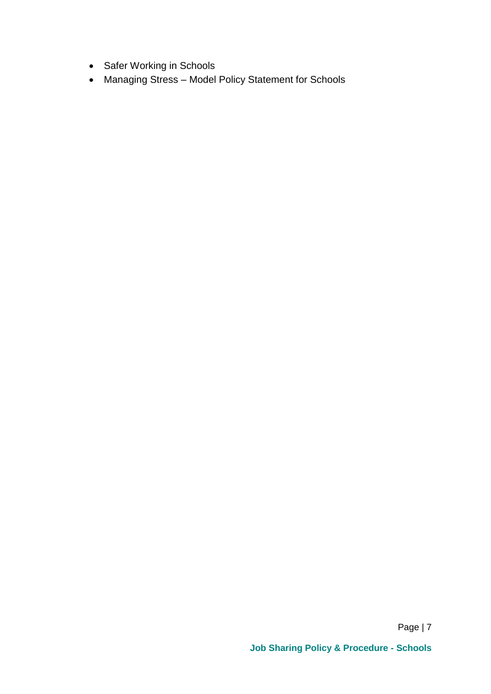- Safer Working in Schools
- Managing Stress Model Policy Statement for Schools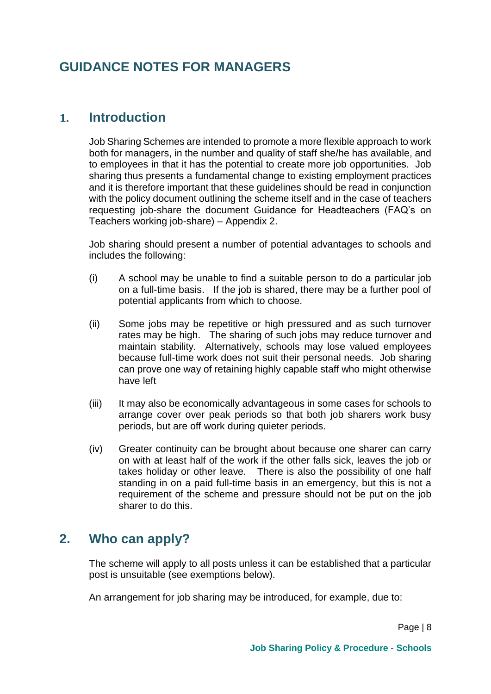# <span id="page-8-0"></span>**GUIDANCE NOTES FOR MANAGERS**

#### <span id="page-8-1"></span>**1. Introduction**

Job Sharing Schemes are intended to promote a more flexible approach to work both for managers, in the number and quality of staff she/he has available, and to employees in that it has the potential to create more job opportunities. Job sharing thus presents a fundamental change to existing employment practices and it is therefore important that these guidelines should be read in conjunction with the policy document outlining the scheme itself and in the case of teachers requesting job-share the document Guidance for Headteachers (FAQ's on Teachers working job-share) – Appendix 2.

Job sharing should present a number of potential advantages to schools and includes the following:

- (i) A school may be unable to find a suitable person to do a particular job on a full-time basis. If the job is shared, there may be a further pool of potential applicants from which to choose.
- (ii) Some jobs may be repetitive or high pressured and as such turnover rates may be high. The sharing of such jobs may reduce turnover and maintain stability. Alternatively, schools may lose valued employees because full-time work does not suit their personal needs. Job sharing can prove one way of retaining highly capable staff who might otherwise have left
- (iii) It may also be economically advantageous in some cases for schools to arrange cover over peak periods so that both job sharers work busy periods, but are off work during quieter periods.
- (iv) Greater continuity can be brought about because one sharer can carry on with at least half of the work if the other falls sick, leaves the job or takes holiday or other leave. There is also the possibility of one half standing in on a paid full-time basis in an emergency, but this is not a requirement of the scheme and pressure should not be put on the job sharer to do this.

# <span id="page-8-2"></span>**2. Who can apply?**

The scheme will apply to all posts unless it can be established that a particular post is unsuitable (see exemptions below).

An arrangement for job sharing may be introduced, for example, due to: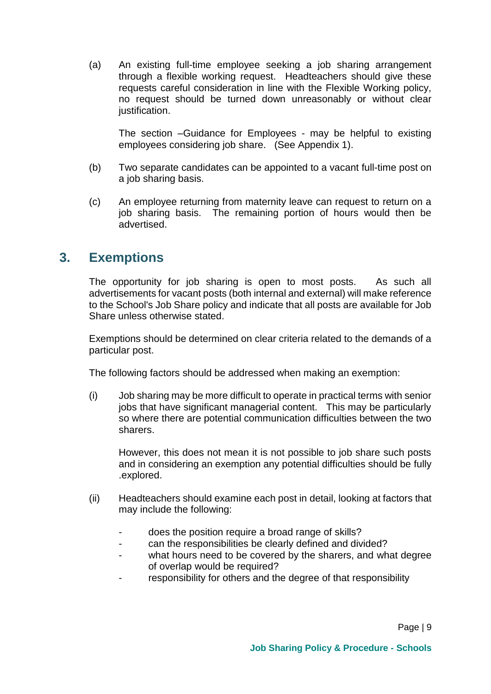(a) An existing full-time employee seeking a job sharing arrangement through a flexible working request. Headteachers should give these requests careful consideration in line with the Flexible Working policy, no request should be turned down unreasonably or without clear justification.

The section –Guidance for Employees - may be helpful to existing employees considering job share. (See Appendix 1).

- (b) Two separate candidates can be appointed to a vacant full-time post on a job sharing basis.
- (c) An employee returning from maternity leave can request to return on a job sharing basis. The remaining portion of hours would then be advertised.

# <span id="page-9-0"></span>**3. Exemptions**

The opportunity for job sharing is open to most posts. As such all advertisements for vacant posts (both internal and external) will make reference to the School's Job Share policy and indicate that all posts are available for Job Share unless otherwise stated.

Exemptions should be determined on clear criteria related to the demands of a particular post.

The following factors should be addressed when making an exemption:

(i) Job sharing may be more difficult to operate in practical terms with senior jobs that have significant managerial content. This may be particularly so where there are potential communication difficulties between the two sharers.

However, this does not mean it is not possible to job share such posts and in considering an exemption any potential difficulties should be fully .explored.

- (ii) Headteachers should examine each post in detail, looking at factors that may include the following:
	- does the position require a broad range of skills?
	- can the responsibilities be clearly defined and divided?
	- what hours need to be covered by the sharers, and what degree of overlap would be required?
	- responsibility for others and the degree of that responsibility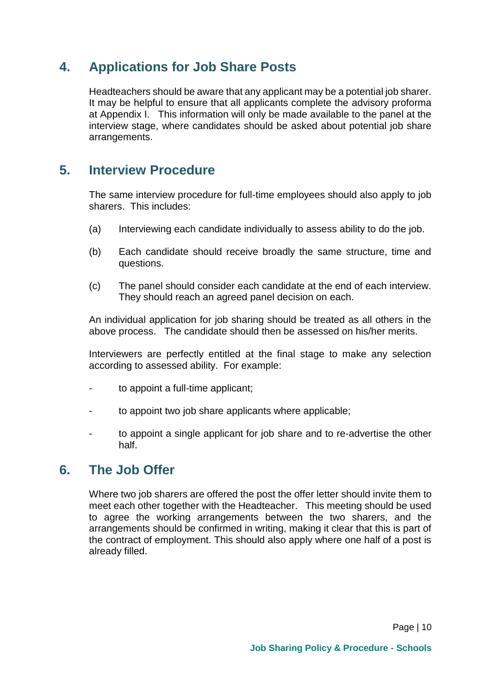# <span id="page-10-0"></span>**4. Applications for Job Share Posts**

Headteachers should be aware that any applicant may be a potential job sharer. It may be helpful to ensure that all applicants complete the advisory proforma at Appendix I. This information will only be made available to the panel at the interview stage, where candidates should be asked about potential job share arrangements.

# <span id="page-10-1"></span>**5. Interview Procedure**

The same interview procedure for full-time employees should also apply to job sharers. This includes:

- (a) Interviewing each candidate individually to assess ability to do the job.
- (b) Each candidate should receive broadly the same structure, time and questions.
- (c) The panel should consider each candidate at the end of each interview. They should reach an agreed panel decision on each.

An individual application for job sharing should be treated as all others in the above process. The candidate should then be assessed on his/her merits.

Interviewers are perfectly entitled at the final stage to make any selection according to assessed ability. For example:

- to appoint a full-time applicant;
- to appoint two job share applicants where applicable:
- to appoint a single applicant for job share and to re-advertise the other half.

#### **6. The Job Offer**

Where two job sharers are offered the post the offer letter should invite them to meet each other together with the Headteacher. This meeting should be used to agree the working arrangements between the two sharers, and the arrangements should be confirmed in writing, making it clear that this is part of the contract of employment. This should also apply where one half of a post is already filled.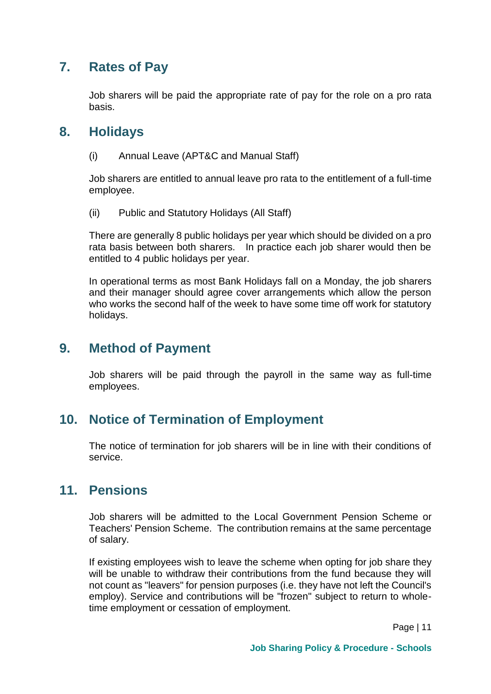# <span id="page-11-0"></span>**7. Rates of Pay**

Job sharers will be paid the appropriate rate of pay for the role on a pro rata basis.

#### **8. Holidays**

(i) Annual Leave (APT&C and Manual Staff)

Job sharers are entitled to annual leave pro rata to the entitlement of a full-time employee.

(ii) Public and Statutory Holidays (All Staff)

There are generally 8 public holidays per year which should be divided on a pro rata basis between both sharers. In practice each job sharer would then be entitled to 4 public holidays per year.

In operational terms as most Bank Holidays fall on a Monday, the job sharers and their manager should agree cover arrangements which allow the person who works the second half of the week to have some time off work for statutory holidays.

#### <span id="page-11-1"></span>**9. Method of Payment**

Job sharers will be paid through the payroll in the same way as full-time employees.

#### <span id="page-11-2"></span>**10. Notice of Termination of Employment**

The notice of termination for job sharers will be in line with their conditions of service.

#### <span id="page-11-3"></span>**11. Pensions**

Job sharers will be admitted to the Local Government Pension Scheme or Teachers' Pension Scheme. The contribution remains at the same percentage of salary.

If existing employees wish to leave the scheme when opting for job share they will be unable to withdraw their contributions from the fund because they will not count as "leavers" for pension purposes (i.e. they have not left the Council's employ). Service and contributions will be "frozen" subject to return to wholetime employment or cessation of employment.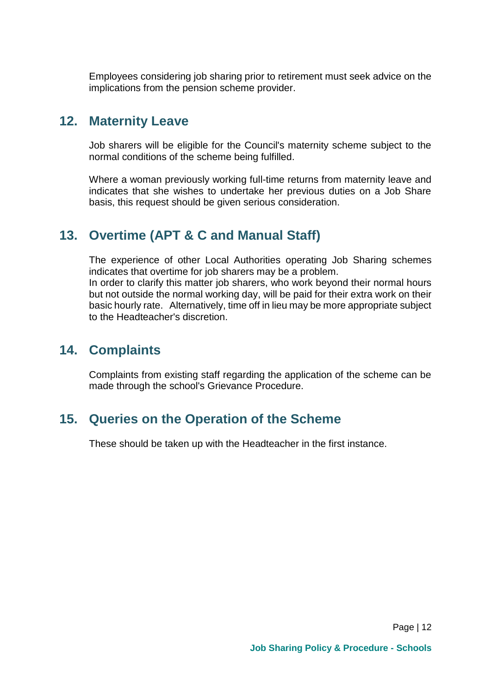Employees considering job sharing prior to retirement must seek advice on the implications from the pension scheme provider.

# <span id="page-12-0"></span>**12. Maternity Leave**

Job sharers will be eligible for the Council's maternity scheme subject to the normal conditions of the scheme being fulfilled.

Where a woman previously working full-time returns from maternity leave and indicates that she wishes to undertake her previous duties on a Job Share basis, this request should be given serious consideration.

# <span id="page-12-1"></span>**13. Overtime (APT & C and Manual Staff)**

The experience of other Local Authorities operating Job Sharing schemes indicates that overtime for job sharers may be a problem.

In order to clarify this matter job sharers, who work beyond their normal hours but not outside the normal working day, will be paid for their extra work on their basic hourly rate. Alternatively, time off in lieu may be more appropriate subject to the Headteacher's discretion.

# <span id="page-12-2"></span>**14. Complaints**

Complaints from existing staff regarding the application of the scheme can be made through the school's Grievance Procedure.

# <span id="page-12-3"></span>**15. Queries on the Operation of the Scheme**

These should be taken up with the Headteacher in the first instance.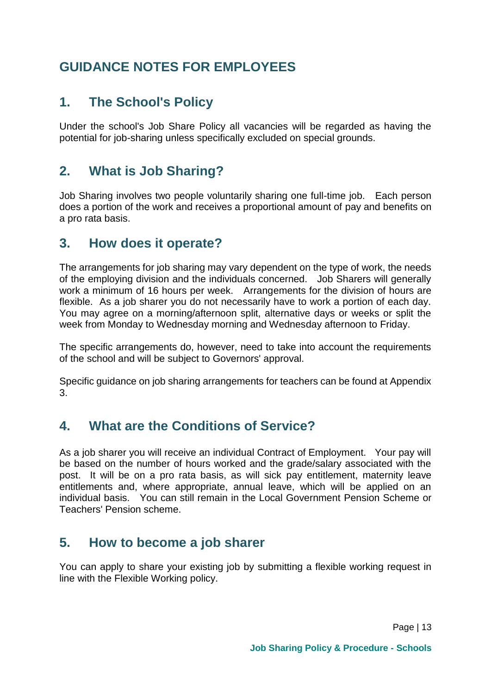# <span id="page-13-1"></span><span id="page-13-0"></span>**GUIDANCE NOTES FOR EMPLOYEES**

# **1. The School's Policy**

Under the school's Job Share Policy all vacancies will be regarded as having the potential for job-sharing unless specifically excluded on special grounds.

# <span id="page-13-2"></span>**2. What is Job Sharing?**

Job Sharing involves two people voluntarily sharing one full-time job. Each person does a portion of the work and receives a proportional amount of pay and benefits on a pro rata basis.

# **3. How does it operate?**

The arrangements for job sharing may vary dependent on the type of work, the needs of the employing division and the individuals concerned. Job Sharers will generally work a minimum of 16 hours per week. Arrangements for the division of hours are flexible. As a job sharer you do not necessarily have to work a portion of each day. You may agree on a morning/afternoon split, alternative days or weeks or split the week from Monday to Wednesday morning and Wednesday afternoon to Friday.

The specific arrangements do, however, need to take into account the requirements of the school and will be subject to Governors' approval.

Specific guidance on job sharing arrangements for teachers can be found at Appendix 3.

# <span id="page-13-3"></span>**4. What are the Conditions of Service?**

As a job sharer you will receive an individual Contract of Employment. Your pay will be based on the number of hours worked and the grade/salary associated with the post. It will be on a pro rata basis, as will sick pay entitlement, maternity leave entitlements and, where appropriate, annual leave, which will be applied on an individual basis. You can still remain in the Local Government Pension Scheme or Teachers' Pension scheme.

# <span id="page-13-4"></span>**5. How to become a job sharer**

You can apply to share your existing job by submitting a flexible working request in line with the Flexible Working policy.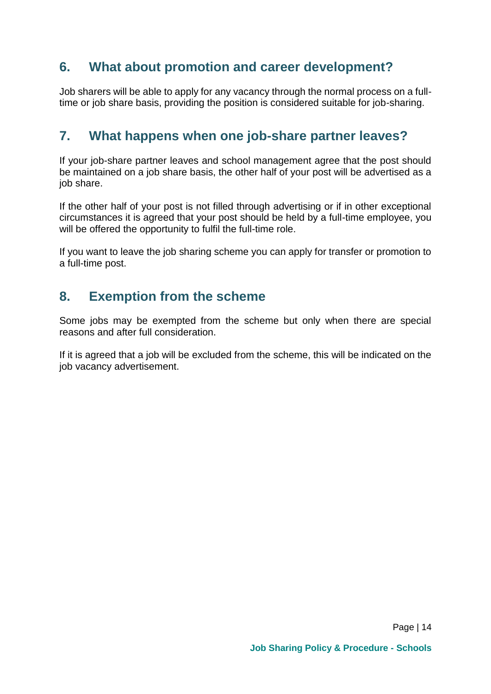# <span id="page-14-0"></span>**6. What about promotion and career development?**

Job sharers will be able to apply for any vacancy through the normal process on a fulltime or job share basis, providing the position is considered suitable for job-sharing.

# <span id="page-14-1"></span>**7. What happens when one job-share partner leaves?**

If your job-share partner leaves and school management agree that the post should be maintained on a job share basis, the other half of your post will be advertised as a job share.

If the other half of your post is not filled through advertising or if in other exceptional circumstances it is agreed that your post should be held by a full-time employee, you will be offered the opportunity to fulfil the full-time role.

If you want to leave the job sharing scheme you can apply for transfer or promotion to a full-time post.

# <span id="page-14-2"></span>**8. Exemption from the scheme**

Some jobs may be exempted from the scheme but only when there are special reasons and after full consideration.

If it is agreed that a job will be excluded from the scheme, this will be indicated on the job vacancy advertisement.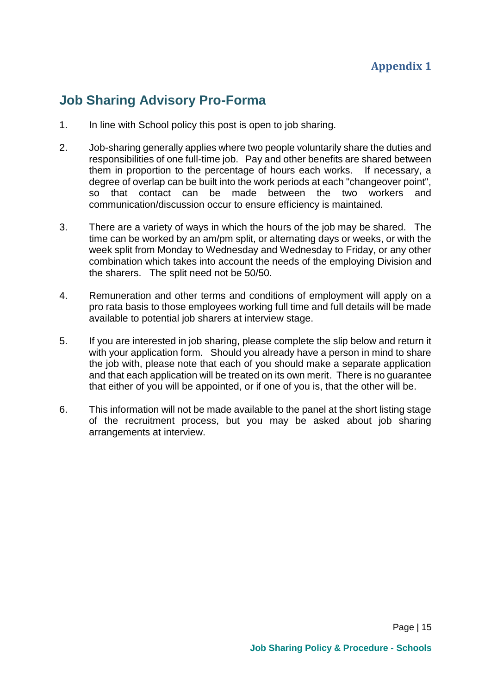# <span id="page-15-1"></span><span id="page-15-0"></span>**Job Sharing Advisory Pro-Forma**

- 1. In line with School policy this post is open to job sharing.
- 2. Job-sharing generally applies where two people voluntarily share the duties and responsibilities of one full-time job. Pay and other benefits are shared between them in proportion to the percentage of hours each works. If necessary, a degree of overlap can be built into the work periods at each "changeover point", so that contact can be made between the two workers and communication/discussion occur to ensure efficiency is maintained.
- 3. There are a variety of ways in which the hours of the job may be shared. The time can be worked by an am/pm split, or alternating days or weeks, or with the week split from Monday to Wednesday and Wednesday to Friday, or any other combination which takes into account the needs of the employing Division and the sharers. The split need not be 50/50.
- 4. Remuneration and other terms and conditions of employment will apply on a pro rata basis to those employees working full time and full details will be made available to potential job sharers at interview stage.
- 5. If you are interested in job sharing, please complete the slip below and return it with your application form. Should you already have a person in mind to share the job with, please note that each of you should make a separate application and that each application will be treated on its own merit. There is no guarantee that either of you will be appointed, or if one of you is, that the other will be.
- 6. This information will not be made available to the panel at the short listing stage of the recruitment process, but you may be asked about job sharing arrangements at interview.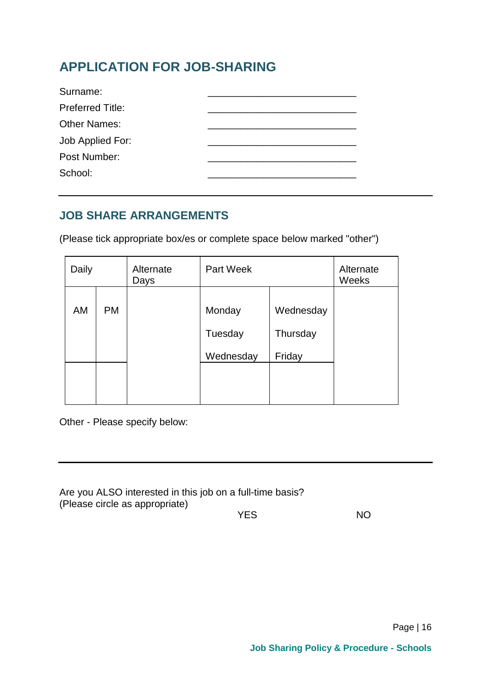# <span id="page-16-0"></span>**APPLICATION FOR JOB-SHARING**

| Surname:                |  |
|-------------------------|--|
| <b>Preferred Title:</b> |  |
| <b>Other Names:</b>     |  |
| Job Applied For:        |  |
| Post Number:            |  |
| School:                 |  |

# **JOB SHARE ARRANGEMENTS**

(Please tick appropriate box/es or complete space below marked "other")

| Daily |           | Alternate<br>Days | Part Week |           | Alternate<br>Weeks |
|-------|-----------|-------------------|-----------|-----------|--------------------|
|       |           |                   |           |           |                    |
| AM    | <b>PM</b> |                   | Monday    | Wednesday |                    |
|       |           |                   | Tuesday   | Thursday  |                    |
|       |           |                   | Wednesday | Friday    |                    |
|       |           |                   |           |           |                    |
|       |           |                   |           |           |                    |

Other - Please specify below:

| Are you ALSO interested in this job on a full-time basis? |     |
|-----------------------------------------------------------|-----|
| (Please circle as appropriate)                            |     |
| <b>YES</b>                                                | NO. |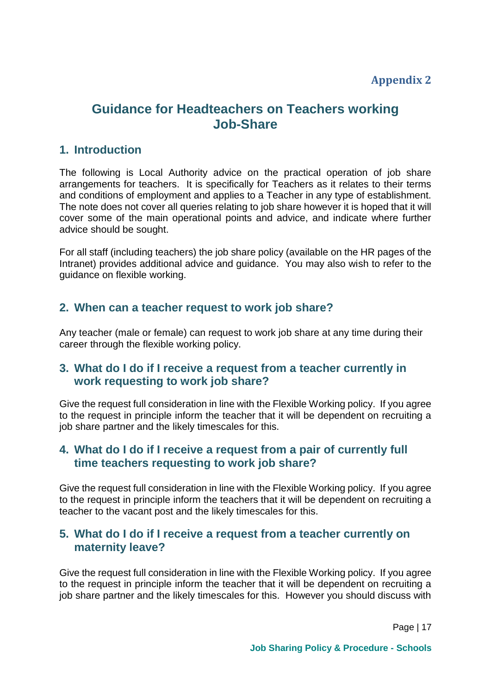#### <span id="page-17-0"></span>**Appendix 2**

# <span id="page-17-1"></span>**Guidance for Headteachers on Teachers working Job-Share**

#### <span id="page-17-2"></span>**1. Introduction**

The following is Local Authority advice on the practical operation of job share arrangements for teachers. It is specifically for Teachers as it relates to their terms and conditions of employment and applies to a Teacher in any type of establishment. The note does not cover all queries relating to job share however it is hoped that it will cover some of the main operational points and advice, and indicate where further advice should be sought.

For all staff (including teachers) the job share policy (available on the HR pages of the Intranet) provides additional advice and guidance. You may also wish to refer to the guidance on flexible working.

#### <span id="page-17-3"></span>**2. When can a teacher request to work job share?**

Any teacher (male or female) can request to work job share at any time during their career through the flexible working policy.

#### **3. What do I do if I receive a request from a teacher currently in work requesting to work job share?**

Give the request full consideration in line with the Flexible Working policy. If you agree to the request in principle inform the teacher that it will be dependent on recruiting a job share partner and the likely timescales for this.

#### **4. What do I do if I receive a request from a pair of currently full time teachers requesting to work job share?**

Give the request full consideration in line with the Flexible Working policy. If you agree to the request in principle inform the teachers that it will be dependent on recruiting a teacher to the vacant post and the likely timescales for this.

#### **5. What do I do if I receive a request from a teacher currently on maternity leave?**

Give the request full consideration in line with the Flexible Working policy. If you agree to the request in principle inform the teacher that it will be dependent on recruiting a job share partner and the likely timescales for this. However you should discuss with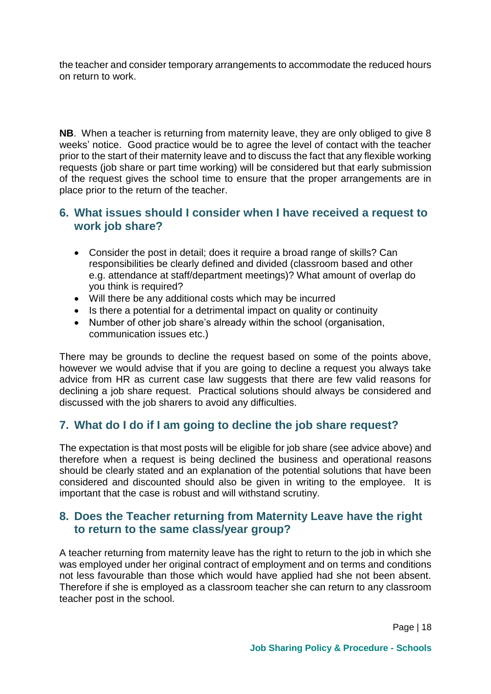the teacher and consider temporary arrangements to accommodate the reduced hours on return to work.

**NB**. When a teacher is returning from maternity leave, they are only obliged to give 8 weeks' notice. Good practice would be to agree the level of contact with the teacher prior to the start of their maternity leave and to discuss the fact that any flexible working requests (job share or part time working) will be considered but that early submission of the request gives the school time to ensure that the proper arrangements are in place prior to the return of the teacher.

#### **6. What issues should I consider when I have received a request to work job share?**

- Consider the post in detail; does it require a broad range of skills? Can responsibilities be clearly defined and divided (classroom based and other e.g. attendance at staff/department meetings)? What amount of overlap do you think is required?
- Will there be any additional costs which may be incurred
- Is there a potential for a detrimental impact on quality or continuity
- Number of other job share's already within the school (organisation, communication issues etc.)

There may be grounds to decline the request based on some of the points above, however we would advise that if you are going to decline a request you always take advice from HR as current case law suggests that there are few valid reasons for declining a job share request. Practical solutions should always be considered and discussed with the job sharers to avoid any difficulties.

#### **7. What do I do if I am going to decline the job share request?**

The expectation is that most posts will be eligible for job share (see advice above) and therefore when a request is being declined the business and operational reasons should be clearly stated and an explanation of the potential solutions that have been considered and discounted should also be given in writing to the employee. It is important that the case is robust and will withstand scrutiny.

#### **8. Does the Teacher returning from Maternity Leave have the right to return to the same class/year group?**

A teacher returning from maternity leave has the right to return to the job in which she was employed under her original contract of employment and on terms and conditions not less favourable than those which would have applied had she not been absent. Therefore if she is employed as a classroom teacher she can return to any classroom teacher post in the school.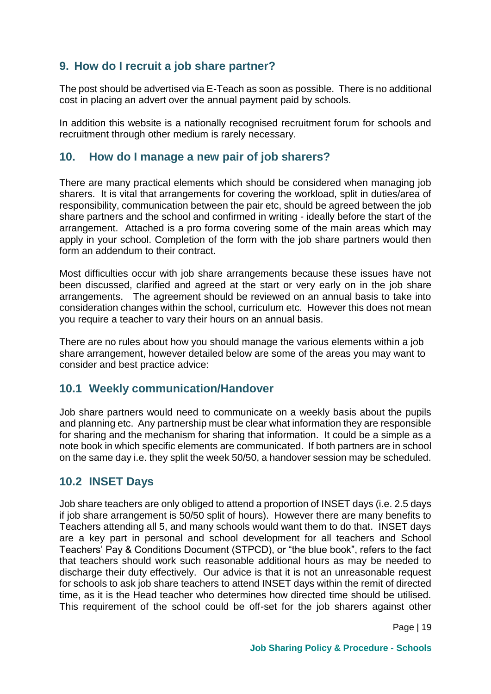#### **9. How do I recruit a job share partner?**

The post should be advertised via E-Teach as soon as possible. There is no additional cost in placing an advert over the annual payment paid by schools.

In addition this website is a nationally recognised recruitment forum for schools and recruitment through other medium is rarely necessary.

#### <span id="page-19-0"></span>**10. How do I manage a new pair of job sharers?**

There are many practical elements which should be considered when managing job sharers. It is vital that arrangements for covering the workload, split in duties/area of responsibility, communication between the pair etc, should be agreed between the job share partners and the school and confirmed in writing - ideally before the start of the arrangement. Attached is a pro forma covering some of the main areas which may apply in your school. Completion of the form with the job share partners would then form an addendum to their contract.

Most difficulties occur with job share arrangements because these issues have not been discussed, clarified and agreed at the start or very early on in the job share arrangements. The agreement should be reviewed on an annual basis to take into consideration changes within the school, curriculum etc. However this does not mean you require a teacher to vary their hours on an annual basis.

There are no rules about how you should manage the various elements within a job share arrangement, however detailed below are some of the areas you may want to consider and best practice advice:

#### **10.1 Weekly communication/Handover**

Job share partners would need to communicate on a weekly basis about the pupils and planning etc. Any partnership must be clear what information they are responsible for sharing and the mechanism for sharing that information. It could be a simple as a note book in which specific elements are communicated. If both partners are in school on the same day i.e. they split the week 50/50, a handover session may be scheduled.

#### **10.2 INSET Days**

Job share teachers are only obliged to attend a proportion of INSET days (i.e. 2.5 days if job share arrangement is 50/50 split of hours). However there are many benefits to Teachers attending all 5, and many schools would want them to do that. INSET days are a key part in personal and school development for all teachers and School Teachers' Pay & Conditions Document (STPCD), or "the blue book", refers to the fact that teachers should work such reasonable additional hours as may be needed to discharge their duty effectively. Our advice is that it is not an unreasonable request for schools to ask job share teachers to attend INSET days within the remit of directed time, as it is the Head teacher who determines how directed time should be utilised. This requirement of the school could be off-set for the job sharers against other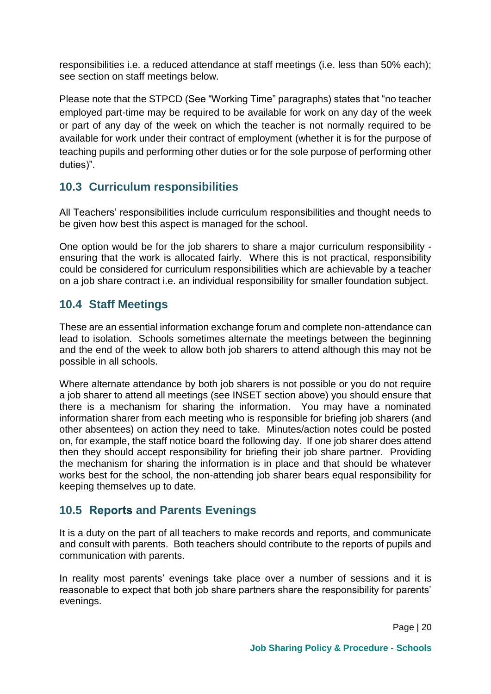responsibilities i.e. a reduced attendance at staff meetings (i.e. less than 50% each); see section on staff meetings below.

Please note that the STPCD (See "Working Time" paragraphs) states that "no teacher employed part-time may be required to be available for work on any day of the week or part of any day of the week on which the teacher is not normally required to be available for work under their contract of employment (whether it is for the purpose of teaching pupils and performing other duties or for the sole purpose of performing other duties)".

#### **10.3 Curriculum responsibilities**

All Teachers' responsibilities include curriculum responsibilities and thought needs to be given how best this aspect is managed for the school.

One option would be for the job sharers to share a major curriculum responsibility ensuring that the work is allocated fairly. Where this is not practical, responsibility could be considered for curriculum responsibilities which are achievable by a teacher on a job share contract i.e. an individual responsibility for smaller foundation subject.

#### **10.4 Staff Meetings**

These are an essential information exchange forum and complete non-attendance can lead to isolation. Schools sometimes alternate the meetings between the beginning and the end of the week to allow both job sharers to attend although this may not be possible in all schools.

Where alternate attendance by both job sharers is not possible or you do not require a job sharer to attend all meetings (see INSET section above) you should ensure that there is a mechanism for sharing the information. You may have a nominated information sharer from each meeting who is responsible for briefing job sharers (and other absentees) on action they need to take. Minutes/action notes could be posted on, for example, the staff notice board the following day. If one job sharer does attend then they should accept responsibility for briefing their job share partner. Providing the mechanism for sharing the information is in place and that should be whatever works best for the school, the non-attending job sharer bears equal responsibility for keeping themselves up to date.

#### **10.5 Reports and Parents Evenings**

It is a duty on the part of all teachers to make records and reports, and communicate and consult with parents. Both teachers should contribute to the reports of pupils and communication with parents.

In reality most parents' evenings take place over a number of sessions and it is reasonable to expect that both job share partners share the responsibility for parents' evenings.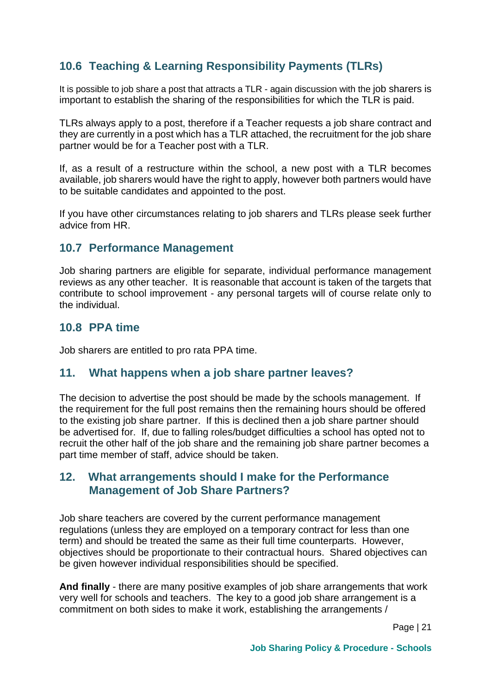# **10.6 Teaching & Learning Responsibility Payments (TLRs)**

It is possible to job share a post that attracts a TLR - again discussion with the job sharers is important to establish the sharing of the responsibilities for which the TLR is paid.

TLRs always apply to a post, therefore if a Teacher requests a job share contract and they are currently in a post which has a TLR attached, the recruitment for the job share partner would be for a Teacher post with a TLR.

If, as a result of a restructure within the school, a new post with a TLR becomes available, job sharers would have the right to apply, however both partners would have to be suitable candidates and appointed to the post.

If you have other circumstances relating to job sharers and TLRs please seek further advice from HR.

#### **10.7 Performance Management**

Job sharing partners are eligible for separate, individual performance management reviews as any other teacher. It is reasonable that account is taken of the targets that contribute to school improvement - any personal targets will of course relate only to the individual.

#### **10.8 PPA time**

Job sharers are entitled to pro rata PPA time.

#### <span id="page-21-0"></span>**11. What happens when a job share partner leaves?**

The decision to advertise the post should be made by the schools management. If the requirement for the full post remains then the remaining hours should be offered to the existing job share partner. If this is declined then a job share partner should be advertised for. If, due to falling roles/budget difficulties a school has opted not to recruit the other half of the job share and the remaining job share partner becomes a part time member of staff, advice should be taken.

#### <span id="page-21-1"></span>**12. What arrangements should I make for the Performance Management of Job Share Partners?**

Job share teachers are covered by the current performance management regulations (unless they are employed on a temporary contract for less than one term) and should be treated the same as their full time counterparts. However, objectives should be proportionate to their contractual hours. Shared objectives can be given however individual responsibilities should be specified.

**And finally** - there are many positive examples of job share arrangements that work very well for schools and teachers. The key to a good job share arrangement is a commitment on both sides to make it work, establishing the arrangements /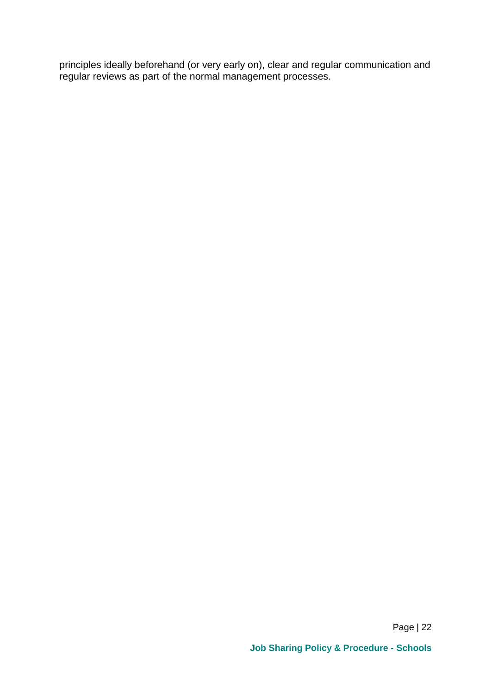principles ideally beforehand (or very early on), clear and regular communication and regular reviews as part of the normal management processes.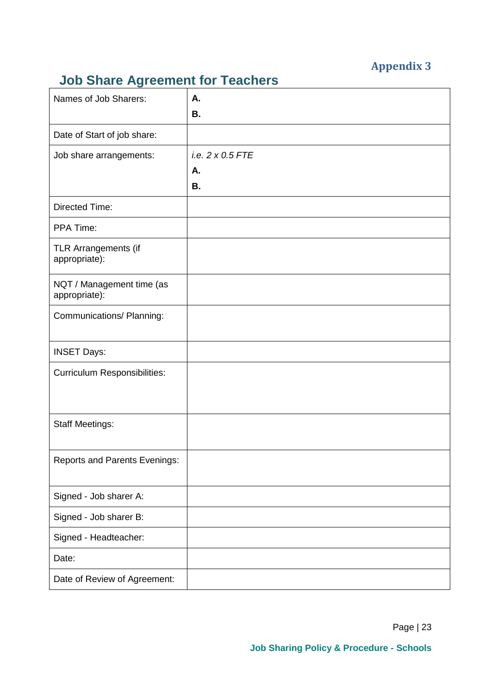# **Appendix 3**

# <span id="page-23-0"></span>**Job Share Agreement for Teachers**

| $10^{10}$ candidates $1^{10}$<br>Names of Job Sharers: | Α.                                  |
|--------------------------------------------------------|-------------------------------------|
|                                                        | <b>B.</b>                           |
| Date of Start of job share:                            |                                     |
| Job share arrangements:                                | i.e. 2 x 0.5 FTE<br>Α.<br><b>B.</b> |
| <b>Directed Time:</b>                                  |                                     |
| PPA Time:                                              |                                     |
| TLR Arrangements (if<br>appropriate):                  |                                     |
| NQT / Management time (as<br>appropriate):             |                                     |
| Communications/ Planning:                              |                                     |
| <b>INSET Days:</b>                                     |                                     |
| <b>Curriculum Responsibilities:</b>                    |                                     |
| <b>Staff Meetings:</b>                                 |                                     |
| <b>Reports and Parents Evenings:</b>                   |                                     |
| Signed - Job sharer A:                                 |                                     |
| Signed - Job sharer B:                                 |                                     |
| Signed - Headteacher:                                  |                                     |
| Date:                                                  |                                     |
| Date of Review of Agreement:                           |                                     |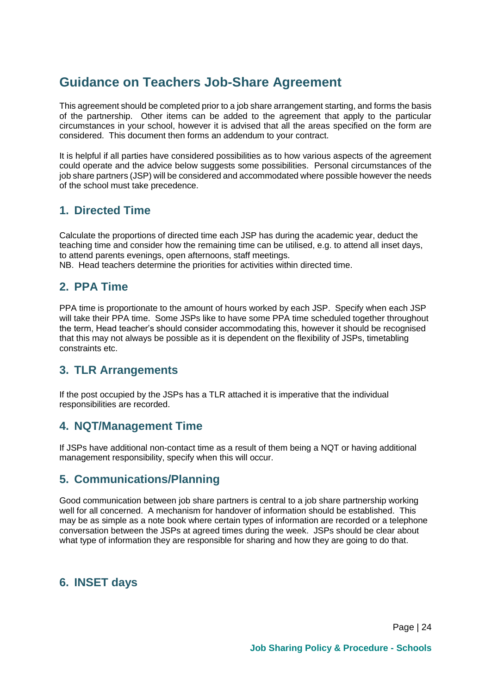# **Guidance on Teachers Job-Share Agreement**

This agreement should be completed prior to a job share arrangement starting, and forms the basis of the partnership. Other items can be added to the agreement that apply to the particular circumstances in your school, however it is advised that all the areas specified on the form are considered. This document then forms an addendum to your contract.

It is helpful if all parties have considered possibilities as to how various aspects of the agreement could operate and the advice below suggests some possibilities. Personal circumstances of the job share partners (JSP) will be considered and accommodated where possible however the needs of the school must take precedence.

#### **1. Directed Time**

Calculate the proportions of directed time each JSP has during the academic year, deduct the teaching time and consider how the remaining time can be utilised, e.g. to attend all inset days, to attend parents evenings, open afternoons, staff meetings.

NB. Head teachers determine the priorities for activities within directed time.

#### **2. PPA Time**

PPA time is proportionate to the amount of hours worked by each JSP. Specify when each JSP will take their PPA time. Some JSPs like to have some PPA time scheduled together throughout the term, Head teacher's should consider accommodating this, however it should be recognised that this may not always be possible as it is dependent on the flexibility of JSPs, timetabling constraints etc.

#### **3. TLR Arrangements**

If the post occupied by the JSPs has a TLR attached it is imperative that the individual responsibilities are recorded.

#### **4. NQT/Management Time**

If JSPs have additional non-contact time as a result of them being a NQT or having additional management responsibility, specify when this will occur.

#### **5. Communications/Planning**

Good communication between job share partners is central to a job share partnership working well for all concerned. A mechanism for handover of information should be established. This may be as simple as a note book where certain types of information are recorded or a telephone conversation between the JSPs at agreed times during the week. JSPs should be clear about what type of information they are responsible for sharing and how they are going to do that.

#### **6. INSET days**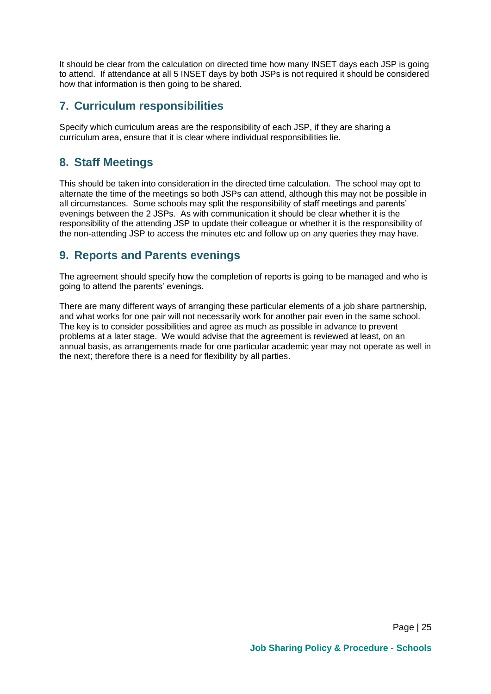It should be clear from the calculation on directed time how many INSET days each JSP is going to attend. If attendance at all 5 INSET days by both JSPs is not required it should be considered how that information is then going to be shared.

#### **7. Curriculum responsibilities**

Specify which curriculum areas are the responsibility of each JSP, if they are sharing a curriculum area, ensure that it is clear where individual responsibilities lie.

#### **8. Staff Meetings**

This should be taken into consideration in the directed time calculation. The school may opt to alternate the time of the meetings so both JSPs can attend, although this may not be possible in all circumstances. Some schools may split the responsibility of staff meetings and parents' evenings between the 2 JSPs. As with communication it should be clear whether it is the responsibility of the attending JSP to update their colleague or whether it is the responsibility of the non-attending JSP to access the minutes etc and follow up on any queries they may have.

#### **9. Reports and Parents evenings**

The agreement should specify how the completion of reports is going to be managed and who is going to attend the parents' evenings.

There are many different ways of arranging these particular elements of a job share partnership, and what works for one pair will not necessarily work for another pair even in the same school. The key is to consider possibilities and agree as much as possible in advance to prevent problems at a later stage. We would advise that the agreement is reviewed at least, on an annual basis, as arrangements made for one particular academic year may not operate as well in the next; therefore there is a need for flexibility by all parties.